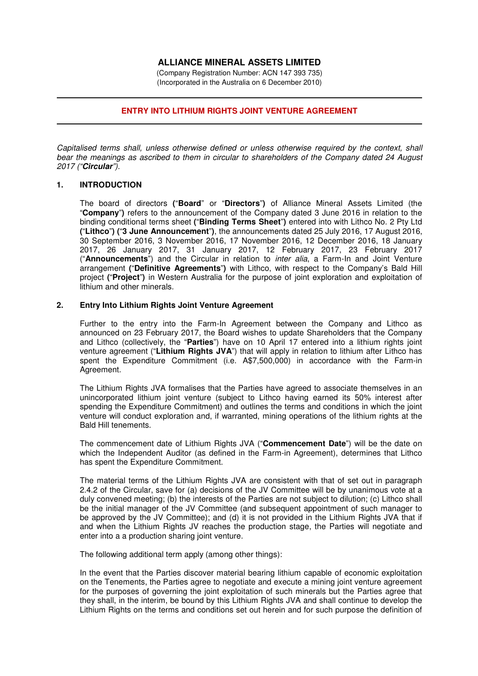# **ALLIANCE MINERAL ASSETS LIMITED**

(Company Registration Number: ACN 147 393 735) (Incorporated in the Australia on 6 December 2010)

### **ENTRY INTO LITHIUM RIGHTS JOINT VENTURE AGREEMENT**

*Capitalised terms shall, unless otherwise defined or unless otherwise required by the context, shall bear the meanings as ascribed to them in circular to shareholders of the Company dated 24 August 2017 ("***Circular***").* 

#### **1. INTRODUCTION**

The board of directors **(**"**Board**" or "**Directors**"**)** of Alliance Mineral Assets Limited (the "**Company**"**)** refers to the announcement of the Company dated 3 June 2016 in relation to the binding conditional terms sheet **(**"**Binding Terms Sheet**"**)** entered into with Lithco No. 2 Pty Ltd **(**"**Lithco**"**) (**"**3 June Announcement**"**)**, the announcements dated 25 July 2016, 17 August 2016, 30 September 2016, 3 November 2016, 17 November 2016, 12 December 2016, 18 January 2017, 26 January 2017, 31 January 2017, 12 February 2017, 23 February 2017 ("**Announcements**") and the Circular in relation to *inter alia*, a Farm-In and Joint Venture arrangement **(**"**Definitive Agreements**"**)** with Lithco, with respect to the Company's Bald Hill project **(**"**Project**"**)** in Western Australia for the purpose of joint exploration and exploitation of lithium and other minerals.

## **2. Entry Into Lithium Rights Joint Venture Agreement**

Further to the entry into the Farm-In Agreement between the Company and Lithco as announced on 23 February 2017, the Board wishes to update Shareholders that the Company and Lithco (collectively, the "**Parties**") have on 10 April 17 entered into a lithium rights joint venture agreement ("Lithium Rights JVA") that will apply in relation to lithium after Lithco has spent the Expenditure Commitment (i.e. A\$7,500,000) in accordance with the Farm-in Agreement.

The Lithium Rights JVA formalises that the Parties have agreed to associate themselves in an unincorporated lithium joint venture (subject to Lithco having earned its 50% interest after spending the Expenditure Commitment) and outlines the terms and conditions in which the joint venture will conduct exploration and, if warranted, mining operations of the lithium rights at the Bald Hill tenements.

The commencement date of Lithium Rights JVA ("**Commencement Date**") will be the date on which the Independent Auditor (as defined in the Farm-in Agreement), determines that Lithco has spent the Expenditure Commitment.

The material terms of the Lithium Rights JVA are consistent with that of set out in paragraph 2.4.2 of the Circular, save for (a) decisions of the JV Committee will be by unanimous vote at a duly convened meeting; (b) the interests of the Parties are not subject to dilution; (c) Lithco shall be the initial manager of the JV Committee (and subsequent appointment of such manager to be approved by the JV Committee); and (d) it is not provided in the Lithium Rights JVA that if and when the Lithium Rights JV reaches the production stage, the Parties will negotiate and enter into a a production sharing joint venture.

The following additional term apply (among other things):

In the event that the Parties discover material bearing lithium capable of economic exploitation on the Tenements, the Parties agree to negotiate and execute a mining joint venture agreement for the purposes of governing the joint exploitation of such minerals but the Parties agree that they shall, in the interim, be bound by this Lithium Rights JVA and shall continue to develop the Lithium Rights on the terms and conditions set out herein and for such purpose the definition of